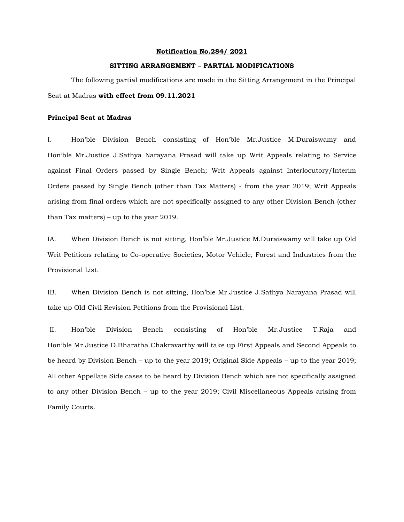## **Notification No.284/ 2021**

## **SITTING ARRANGEMENT – PARTIAL MODIFICATIONS**

The following partial modifications are made in the Sitting Arrangement in the Principal Seat at Madras **with effect from 09.11.2021** 

## **Principal Seat at Madras**

I. Hon'ble Division Bench consisting of Hon'ble Mr.Justice M.Duraiswamy and Hon'ble Mr.Justice J.Sathya Narayana Prasad will take up Writ Appeals relating to Service against Final Orders passed by Single Bench; Writ Appeals against Interlocutory/Interim Orders passed by Single Bench (other than Tax Matters) - from the year 2019; Writ Appeals arising from final orders which are not specifically assigned to any other Division Bench (other than Tax matters) – up to the year 2019.

IA. When Division Bench is not sitting, Hon'ble Mr.Justice M.Duraiswamy will take up Old Writ Petitions relating to Co-operative Societies, Motor Vehicle, Forest and Industries from the Provisional List.

IB. When Division Bench is not sitting, Hon'ble Mr.Justice J.Sathya Narayana Prasad will take up Old Civil Revision Petitions from the Provisional List.

II. Hon'ble Division Bench consisting of Hon'ble Mr.Justice T.Raja and Hon'ble Mr.Justice D.Bharatha Chakravarthy will take up First Appeals and Second Appeals to be heard by Division Bench – up to the year 2019; Original Side Appeals – up to the year 2019; All other Appellate Side cases to be heard by Division Bench which are not specifically assigned to any other Division Bench – up to the year 2019; Civil Miscellaneous Appeals arising from Family Courts.